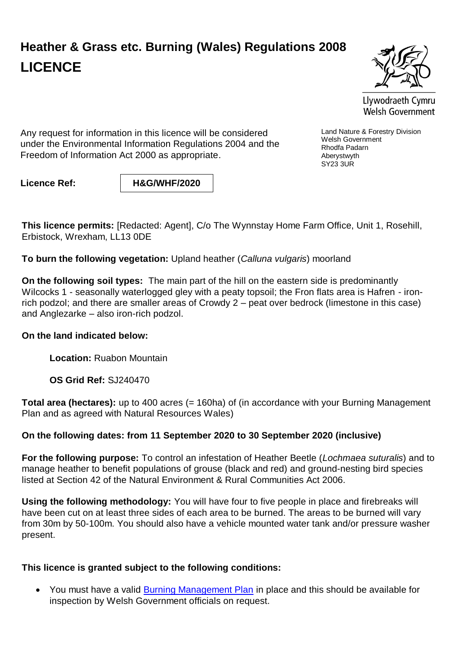## **Heather & Grass etc. Burning (Wales) Regulations 2008 LICENCE**



Llywodraeth Cymru Welsh Government

Land Nature & Forestry Division

Welsh Government Rhodfa Padarn Aberystwyth SY23 3UR

Any request for information in this licence will be considered under the Environmental Information Regulations 2004 and the Freedom of Information Act 2000 as appropriate.

**Licence Ref: H&G/WHF/2020**

**This licence permits:** [Redacted: Agent], C/o The Wynnstay Home Farm Office, Unit 1, Rosehill, Erbistock, Wrexham, LL13 0DE

**To burn the following vegetation:** Upland heather (*Calluna vulgaris*) moorland

**On the following soil types:** The main part of the hill on the eastern side is predominantly Wilcocks 1 - seasonally waterlogged gley with a peaty topsoil; the Fron flats area is Hafren - ironrich podzol; and there are smaller areas of Crowdy 2 – peat over bedrock (limestone in this case) and Anglezarke – also iron-rich podzol.

## **On the land indicated below:**

**Location:** Ruabon Mountain

**OS Grid Ref:** SJ240470

**Total area (hectares):** up to 400 acres (= 160ha) of (in accordance with your Burning Management Plan and as agreed with Natural Resources Wales)

## **On the following dates: from 11 September 2020 to 30 September 2020 (inclusive)**

**For the following purpose:** To control an infestation of Heather Beetle (*Lochmaea suturalis*) and to manage heather to benefit populations of grouse (black and red) and ground-nesting bird species listed at Section 42 of the Natural Environment & Rural Communities Act 2006.

**Using the following methodology:** You will have four to five people in place and firebreaks will have been cut on at least three sides of each area to be burned. The areas to be burned will vary from 30m by 50-100m. You should also have a vehicle mounted water tank and/or pressure washer present.

## **This licence is granted subject to the following conditions:**

• You must have a valid [Burning Management Plan](http://gov.wales/docs/drah/publications/100119burningmanagementplanen.pdf) in place and this should be available for inspection by Welsh Government officials on request.